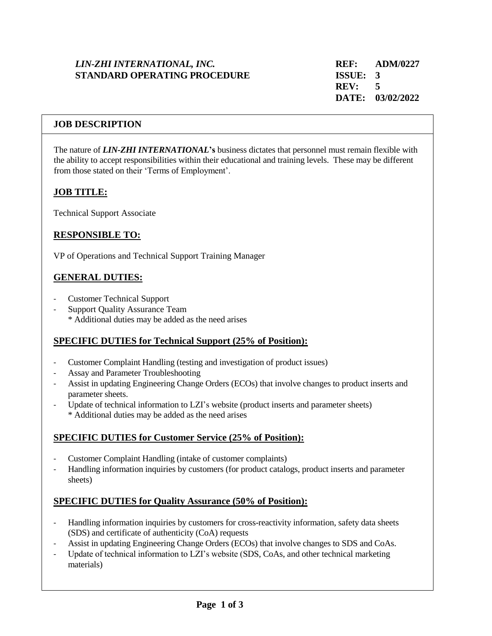## *LIN-ZHI INTERNATIONAL, INC.* **REF: ADM/0227 STANDARD OPERATING PROCEDURE ISSUE: 3**

### **JOB DESCRIPTION**

The nature of *LIN-ZHI INTERNATIONAL***'s** business dictates that personnel must remain flexible with the ability to accept responsibilities within their educational and training levels. These may be different from those stated on their 'Terms of Employment'.

# **JOB TITLE:**

Technical Support Associate

# **RESPONSIBLE TO:**

VP of Operations and Technical Support Training Manager

## **GENERAL DUTIES:**

- Customer Technical Support
- Support Quality Assurance Team \* Additional duties may be added as the need arises

### **SPECIFIC DUTIES for Technical Support (25% of Position):**

- Customer Complaint Handling (testing and investigation of product issues)
- Assay and Parameter Troubleshooting
- Assist in updating Engineering Change Orders (ECOs) that involve changes to product inserts and parameter sheets.
- Update of technical information to LZI's website (product inserts and parameter sheets) \* Additional duties may be added as the need arises

### **SPECIFIC DUTIES for Customer Service (25% of Position):**

- Customer Complaint Handling (intake of customer complaints)
- Handling information inquiries by customers (for product catalogs, product inserts and parameter sheets)

### **SPECIFIC DUTIES for Quality Assurance (50% of Position):**

- Handling information inquiries by customers for cross-reactivity information, safety data sheets (SDS) and certificate of authenticity (CoA) requests
- Assist in updating Engineering Change Orders (ECOs) that involve changes to SDS and CoAs.
- Update of technical information to LZI's website (SDS, CoAs, and other technical marketing materials)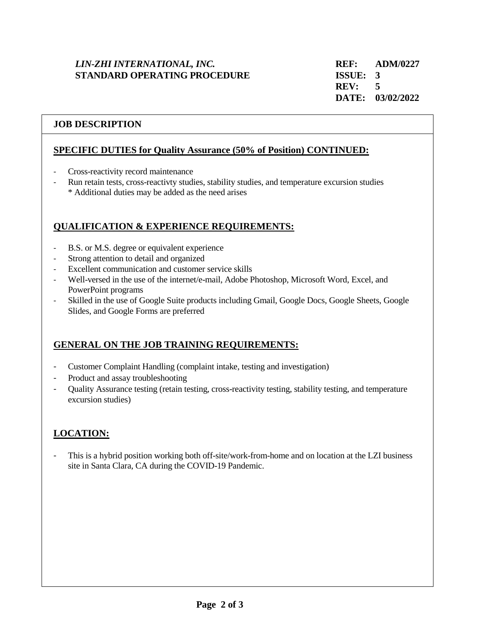# *LIN-ZHI INTERNATIONAL, INC.* **REF: ADM/0227 STANDARD OPERATING PROCEDURE ISSUE: 3**

### **JOB DESCRIPTION**

#### **SPECIFIC DUTIES for Quality Assurance (50% of Position) CONTINUED:**

- Cross-reactivity record maintenance
- Run retain tests, cross-reactivty studies, stability studies, and temperature excursion studies \* Additional duties may be added as the need arises

## **QUALIFICATION & EXPERIENCE REQUIREMENTS:**

- B.S. or M.S. degree or equivalent experience
- Strong attention to detail and organized
- Excellent communication and customer service skills
- Well-versed in the use of the internet/e-mail, Adobe Photoshop, Microsoft Word, Excel, and PowerPoint programs
- Skilled in the use of Google Suite products including Gmail, Google Docs, Google Sheets, Google Slides, and Google Forms are preferred

### **GENERAL ON THE JOB TRAINING REQUIREMENTS:**

- Customer Complaint Handling (complaint intake, testing and investigation)
- Product and assay troubleshooting
- Quality Assurance testing (retain testing, cross-reactivity testing, stability testing, and temperature excursion studies)

# **LOCATION:**

This is a hybrid position working both off-site/work-from-home and on location at the LZI business site in Santa Clara, CA during the COVID-19 Pandemic.